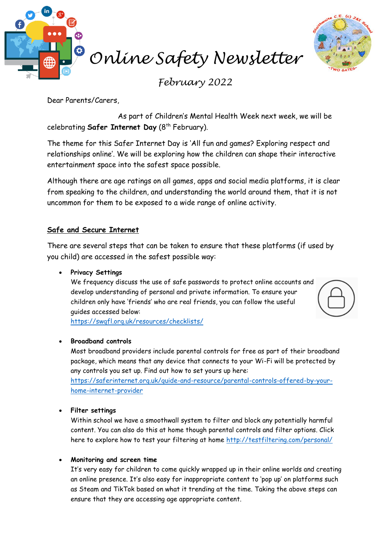

*February 2022*

Dear Parents/Carers,

As part of Children's Mental Health Week next week, we will be celebrating **Safer Internet Day** (8<sup>th</sup> February).

The theme for this Safer Internet Day is 'All fun and games? Exploring respect and relationships online'. We will be exploring how the children can shape their interactive entertainment space into the safest space possible.

Although there are age ratings on all games, apps and social media platforms, it is clear from speaking to the children, and understanding the world around them, that it is not uncommon for them to be exposed to a wide range of online activity.

# **Safe and Secure Internet**

There are several steps that can be taken to ensure that these platforms (if used by you child) are accessed in the safest possible way:

• **Privacy Settings**

We frequency discuss the use of safe passwords to protect online accounts and develop understanding of personal and private information. To ensure your children only have 'friends' who are real friends, you can follow the useful guides accessed below:

<https://swgfl.org.uk/resources/checklists/>

## • **Broadband controls**

Most broadband providers include parental controls for free as part of their broadband package, which means that any device that connects to your Wi-Fi will be protected by any controls you set up. Find out how to set yours up here:

[https://saferinternet.org.uk/guide-and-resource/parental-controls-offered-by-your](https://saferinternet.org.uk/guide-and-resource/parental-controls-offered-by-your-home-internet-provider)[home-internet-provider](https://saferinternet.org.uk/guide-and-resource/parental-controls-offered-by-your-home-internet-provider)

## • **Filter settings**

Within school we have a smoothwall system to filter and block any potentially harmful content. You can also do this at home though parental controls and filter options. Click here to explore how to test your filtering at home<http://testfiltering.com/personal/>

## • **Monitoring and screen time**

It's very easy for children to come quickly wrapped up in their online worlds and creating an online presence. It's also easy for inappropriate content to 'pop up' on platforms such as Steam and TikTok based on what it trending at the time. Taking the above steps can ensure that they are accessing age appropriate content.